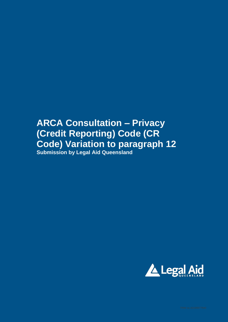## **ARCA Consultation – Privacy (Credit Reporting) Code (CR Code) Variation to paragraph 12 Submission by Legal Aid Queensland**